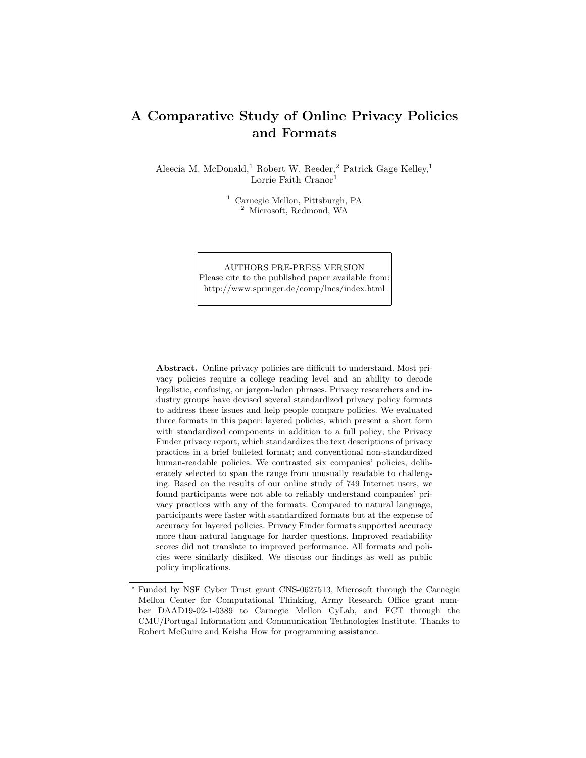# A Comparative Study of Online Privacy Policies and Formats

Aleecia M. McDonald,<sup>1</sup> Robert W. Reeder,<sup>2</sup> Patrick Gage Kelley,<sup>1</sup> Lorrie Faith Cranor<sup>1</sup>

> <sup>1</sup> Carnegie Mellon, Pittsburgh, PA <sup>2</sup> Microsoft, Redmond, WA

AUTHORS PRE-PRESS VERSION Please cite to the published paper available from: http://www.springer.de/comp/lncs/index.html

Abstract. Online privacy policies are difficult to understand. Most privacy policies require a college reading level and an ability to decode legalistic, confusing, or jargon-laden phrases. Privacy researchers and industry groups have devised several standardized privacy policy formats to address these issues and help people compare policies. We evaluated three formats in this paper: layered policies, which present a short form with standardized components in addition to a full policy; the Privacy Finder privacy report, which standardizes the text descriptions of privacy practices in a brief bulleted format; and conventional non-standardized human-readable policies. We contrasted six companies' policies, deliberately selected to span the range from unusually readable to challenging. Based on the results of our online study of 749 Internet users, we found participants were not able to reliably understand companies' privacy practices with any of the formats. Compared to natural language, participants were faster with standardized formats but at the expense of accuracy for layered policies. Privacy Finder formats supported accuracy more than natural language for harder questions. Improved readability scores did not translate to improved performance. All formats and policies were similarly disliked. We discuss our findings as well as public policy implications.

<sup>!</sup> Funded by NSF Cyber Trust grant CNS-0627513, Microsoft through the Carnegie Mellon Center for Computational Thinking, Army Research Office grant number DAAD19-02-1-0389 to Carnegie Mellon CyLab, and FCT through the CMU/Portugal Information and Communication Technologies Institute. Thanks to Robert McGuire and Keisha How for programming assistance.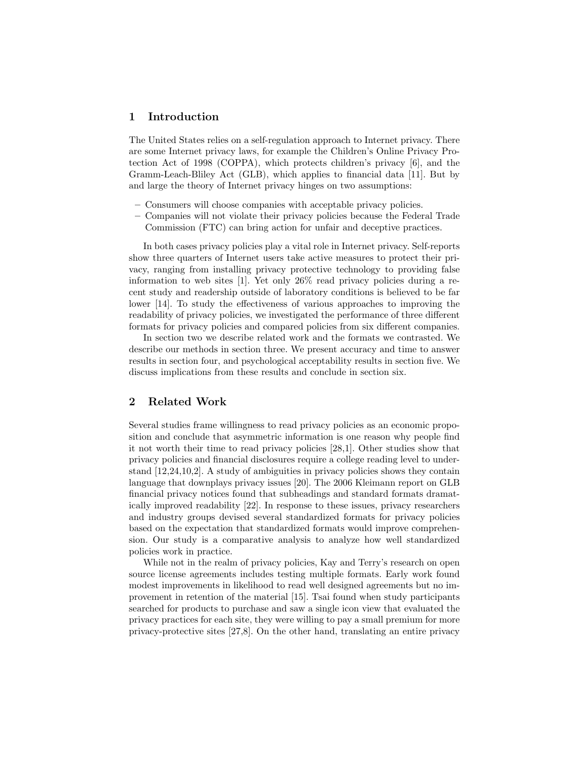# 1 Introduction

The United States relies on a self-regulation approach to Internet privacy. There are some Internet privacy laws, for example the Children's Online Privacy Protection Act of 1998 (COPPA), which protects children's privacy [6], and the Gramm-Leach-Bliley Act (GLB), which applies to financial data [11]. But by and large the theory of Internet privacy hinges on two assumptions:

- Consumers will choose companies with acceptable privacy policies.
- Companies will not violate their privacy policies because the Federal Trade Commission (FTC) can bring action for unfair and deceptive practices.

In both cases privacy policies play a vital role in Internet privacy. Self-reports show three quarters of Internet users take active measures to protect their privacy, ranging from installing privacy protective technology to providing false information to web sites [1]. Yet only 26% read privacy policies during a recent study and readership outside of laboratory conditions is believed to be far lower [14]. To study the effectiveness of various approaches to improving the readability of privacy policies, we investigated the performance of three different formats for privacy policies and compared policies from six different companies.

In section two we describe related work and the formats we contrasted. We describe our methods in section three. We present accuracy and time to answer results in section four, and psychological acceptability results in section five. We discuss implications from these results and conclude in section six.

# 2 Related Work

Several studies frame willingness to read privacy policies as an economic proposition and conclude that asymmetric information is one reason why people find it not worth their time to read privacy policies [28,1]. Other studies show that privacy policies and financial disclosures require a college reading level to understand [12,24,10,2]. A study of ambiguities in privacy policies shows they contain language that downplays privacy issues [20]. The 2006 Kleimann report on GLB financial privacy notices found that subheadings and standard formats dramatically improved readability [22]. In response to these issues, privacy researchers and industry groups devised several standardized formats for privacy policies based on the expectation that standardized formats would improve comprehension. Our study is a comparative analysis to analyze how well standardized policies work in practice.

While not in the realm of privacy policies, Kay and Terry's research on open source license agreements includes testing multiple formats. Early work found modest improvements in likelihood to read well designed agreements but no improvement in retention of the material [15]. Tsai found when study participants searched for products to purchase and saw a single icon view that evaluated the privacy practices for each site, they were willing to pay a small premium for more privacy-protective sites [27,8]. On the other hand, translating an entire privacy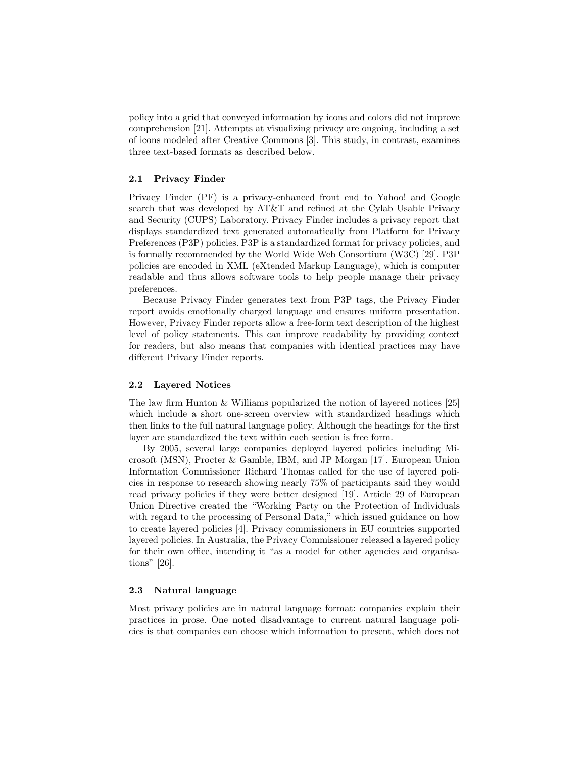policy into a grid that conveyed information by icons and colors did not improve comprehension [21]. Attempts at visualizing privacy are ongoing, including a set of icons modeled after Creative Commons [3]. This study, in contrast, examines three text-based formats as described below.

# 2.1 Privacy Finder

Privacy Finder (PF) is a privacy-enhanced front end to Yahoo! and Google search that was developed by AT&T and refined at the Cylab Usable Privacy and Security (CUPS) Laboratory. Privacy Finder includes a privacy report that displays standardized text generated automatically from Platform for Privacy Preferences (P3P) policies. P3P is a standardized format for privacy policies, and is formally recommended by the World Wide Web Consortium (W3C) [29]. P3P policies are encoded in XML (eXtended Markup Language), which is computer readable and thus allows software tools to help people manage their privacy preferences.

Because Privacy Finder generates text from P3P tags, the Privacy Finder report avoids emotionally charged language and ensures uniform presentation. However, Privacy Finder reports allow a free-form text description of the highest level of policy statements. This can improve readability by providing context for readers, but also means that companies with identical practices may have different Privacy Finder reports.

## 2.2 Layered Notices

The law firm Hunton & Williams popularized the notion of layered notices [25] which include a short one-screen overview with standardized headings which then links to the full natural language policy. Although the headings for the first layer are standardized the text within each section is free form.

By 2005, several large companies deployed layered policies including Microsoft (MSN), Procter & Gamble, IBM, and JP Morgan [17]. European Union Information Commissioner Richard Thomas called for the use of layered policies in response to research showing nearly 75% of participants said they would read privacy policies if they were better designed [19]. Article 29 of European Union Directive created the "Working Party on the Protection of Individuals with regard to the processing of Personal Data," which issued guidance on how to create layered policies [4]. Privacy commissioners in EU countries supported layered policies. In Australia, the Privacy Commissioner released a layered policy for their own office, intending it "as a model for other agencies and organisations" [26].

#### 2.3 Natural language

Most privacy policies are in natural language format: companies explain their practices in prose. One noted disadvantage to current natural language policies is that companies can choose which information to present, which does not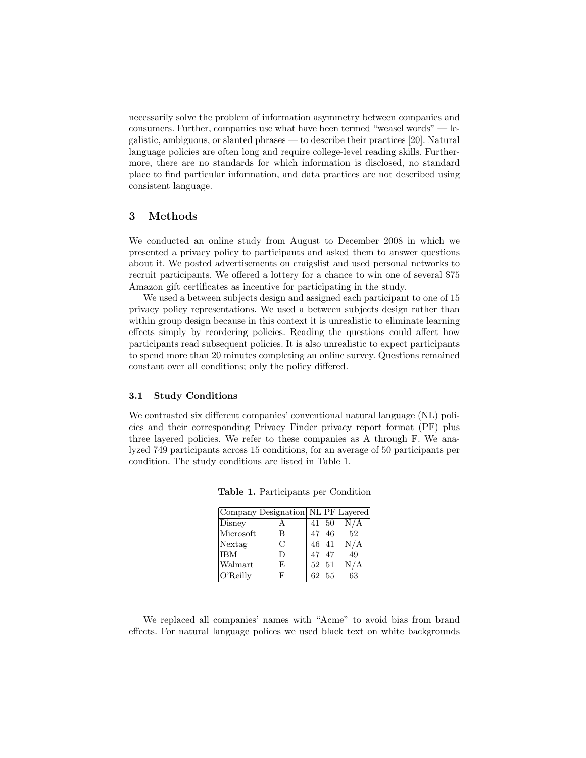necessarily solve the problem of information asymmetry between companies and consumers. Further, companies use what have been termed "weasel words" — legalistic, ambiguous, or slanted phrases — to describe their practices [20]. Natural language policies are often long and require college-level reading skills. Furthermore, there are no standards for which information is disclosed, no standard place to find particular information, and data practices are not described using consistent language.

# 3 Methods

We conducted an online study from August to December 2008 in which we presented a privacy policy to participants and asked them to answer questions about it. We posted advertisements on craigslist and used personal networks to recruit participants. We offered a lottery for a chance to win one of several \$75 Amazon gift certificates as incentive for participating in the study.

We used a between subjects design and assigned each participant to one of 15 privacy policy representations. We used a between subjects design rather than within group design because in this context it is unrealistic to eliminate learning effects simply by reordering policies. Reading the questions could affect how participants read subsequent policies. It is also unrealistic to expect participants to spend more than 20 minutes completing an online survey. Questions remained constant over all conditions; only the policy differed.

## 3.1 Study Conditions

We contrasted six different companies' conventional natural language (NL) policies and their corresponding Privacy Finder privacy report format (PF) plus three layered policies. We refer to these companies as A through F. We analyzed 749 participants across 15 conditions, for an average of 50 participants per condition. The study conditions are listed in Table 1.

|            | Company Designation NL PF Layered |    |    |     |
|------------|-----------------------------------|----|----|-----|
| Disney     |                                   | 41 | 50 | N/A |
| Microsoft  | B                                 | 47 | 46 | 52  |
| Nextag     | $\mathcal{C}$                     | 46 | 41 | N/A |
| <b>IBM</b> | D                                 | 47 | 47 | 49  |
| Walmart    | F,                                | 52 | 51 | N/A |
| O'Reilly   | F                                 | 62 | 55 | 63  |

Table 1. Participants per Condition

We replaced all companies' names with "Acme" to avoid bias from brand effects. For natural language polices we used black text on white backgrounds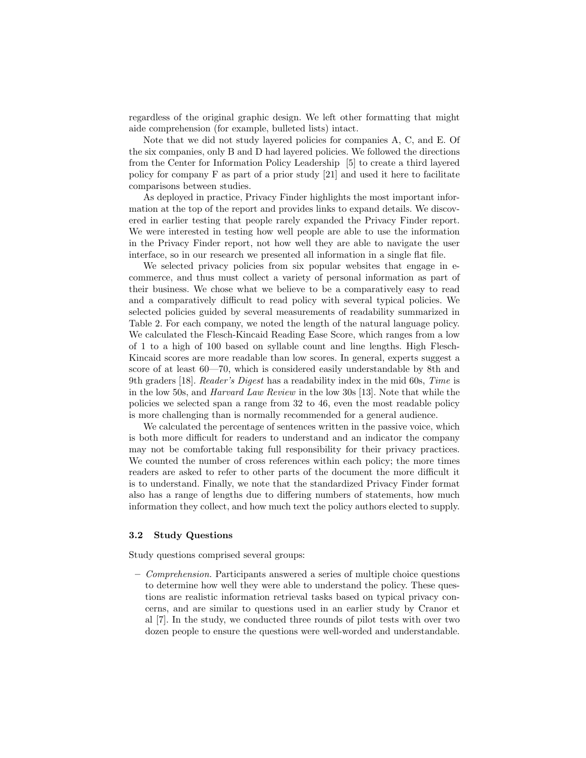regardless of the original graphic design. We left other formatting that might aide comprehension (for example, bulleted lists) intact.

Note that we did not study layered policies for companies A, C, and E. Of the six companies, only B and D had layered policies. We followed the directions from the Center for Information Policy Leadership [5] to create a third layered policy for company F as part of a prior study [21] and used it here to facilitate comparisons between studies.

As deployed in practice, Privacy Finder highlights the most important information at the top of the report and provides links to expand details. We discovered in earlier testing that people rarely expanded the Privacy Finder report. We were interested in testing how well people are able to use the information in the Privacy Finder report, not how well they are able to navigate the user interface, so in our research we presented all information in a single flat file.

We selected privacy policies from six popular websites that engage in ecommerce, and thus must collect a variety of personal information as part of their business. We chose what we believe to be a comparatively easy to read and a comparatively difficult to read policy with several typical policies. We selected policies guided by several measurements of readability summarized in Table 2. For each company, we noted the length of the natural language policy. We calculated the Flesch-Kincaid Reading Ease Score, which ranges from a low of 1 to a high of 100 based on syllable count and line lengths. High Flesch-Kincaid scores are more readable than low scores. In general, experts suggest a score of at least 60—70, which is considered easily understandable by 8th and 9th graders [18]. *Reader's Digest* has a readability index in the mid 60s, *Time* is in the low 50s, and *Harvard Law Review* in the low 30s [13]. Note that while the policies we selected span a range from 32 to 46, even the most readable policy is more challenging than is normally recommended for a general audience.

We calculated the percentage of sentences written in the passive voice, which is both more difficult for readers to understand and an indicator the company may not be comfortable taking full responsibility for their privacy practices. We counted the number of cross references within each policy; the more times readers are asked to refer to other parts of the document the more difficult it is to understand. Finally, we note that the standardized Privacy Finder format also has a range of lengths due to differing numbers of statements, how much information they collect, and how much text the policy authors elected to supply.

# 3.2 Study Questions

Study questions comprised several groups:

– *Comprehension.* Participants answered a series of multiple choice questions to determine how well they were able to understand the policy. These questions are realistic information retrieval tasks based on typical privacy concerns, and are similar to questions used in an earlier study by Cranor et al [7]. In the study, we conducted three rounds of pilot tests with over two dozen people to ensure the questions were well-worded and understandable.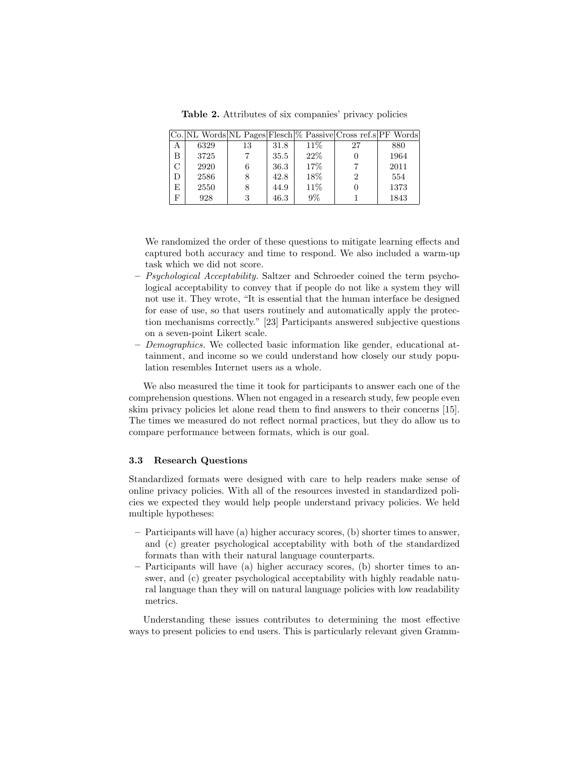Table 2. Attributes of six companies' privacy policies

|   |      |    |      |        | Co. NL Words NL Pages Flesch % Passive Cross ref.s PF Words |      |
|---|------|----|------|--------|-------------------------------------------------------------|------|
| А | 6329 | 13 | 31.8 | $11\%$ | 27                                                          | 880  |
| В | 3725 |    | 35.5 | 22%    |                                                             | 1964 |
| С | 2920 | 6  | 36.3 | 17%    |                                                             | 2011 |
| D | 2586 | 8  | 42.8 | 18%    | 2                                                           | 554  |
| E | 2550 | 8  | 44.9 | 11%    |                                                             | 1373 |
| F | 928  | 3  | 46.3 | $9\%$  |                                                             | 1843 |

We randomized the order of these questions to mitigate learning effects and captured both accuracy and time to respond. We also included a warm-up task which we did not score.

- *Psychological Acceptability.* Saltzer and Schroeder coined the term psychological acceptability to convey that if people do not like a system they will not use it. They wrote, "It is essential that the human interface be designed for ease of use, so that users routinely and automatically apply the protection mechanisms correctly." [23] Participants answered subjective questions on a seven-point Likert scale.
- *Demographics.* We collected basic information like gender, educational attainment, and income so we could understand how closely our study population resembles Internet users as a whole.

We also measured the time it took for participants to answer each one of the comprehension questions. When not engaged in a research study, few people even skim privacy policies let alone read them to find answers to their concerns [15]. The times we measured do not reflect normal practices, but they do allow us to compare performance between formats, which is our goal.

## 3.3 Research Questions

Standardized formats were designed with care to help readers make sense of online privacy policies. With all of the resources invested in standardized policies we expected they would help people understand privacy policies. We held multiple hypotheses:

- Participants will have (a) higher accuracy scores, (b) shorter times to answer, and (c) greater psychological acceptability with both of the standardized formats than with their natural language counterparts.
- Participants will have (a) higher accuracy scores, (b) shorter times to answer, and (c) greater psychological acceptability with highly readable natural language than they will on natural language policies with low readability metrics.

Understanding these issues contributes to determining the most effective ways to present policies to end users. This is particularly relevant given Gramm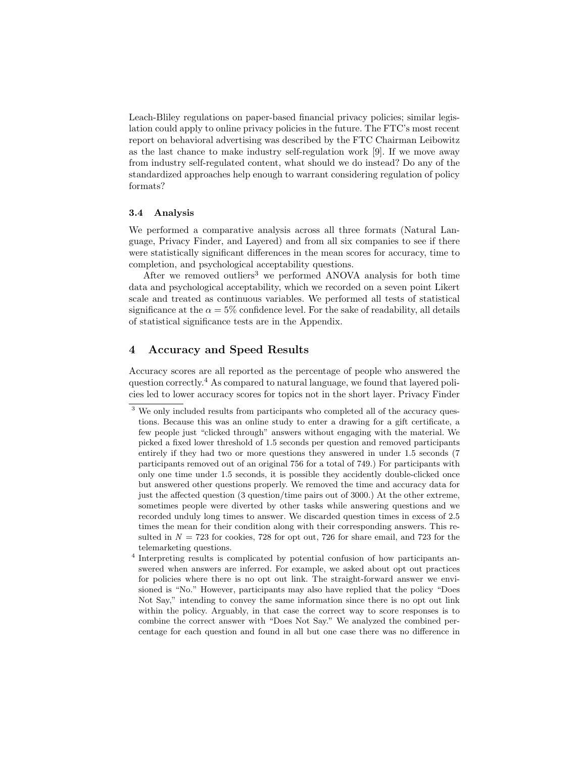Leach-Bliley regulations on paper-based financial privacy policies; similar legislation could apply to online privacy policies in the future. The FTC's most recent report on behavioral advertising was described by the FTC Chairman Leibowitz as the last chance to make industry self-regulation work [9]. If we move away from industry self-regulated content, what should we do instead? Do any of the standardized approaches help enough to warrant considering regulation of policy formats?

# 3.4 Analysis

We performed a comparative analysis across all three formats (Natural Language, Privacy Finder, and Layered) and from all six companies to see if there were statistically significant differences in the mean scores for accuracy, time to completion, and psychological acceptability questions.

After we removed outliers<sup>3</sup> we performed ANOVA analysis for both time data and psychological acceptability, which we recorded on a seven point Likert scale and treated as continuous variables. We performed all tests of statistical significance at the  $\alpha = 5\%$  confidence level. For the sake of readability, all details of statistical significance tests are in the Appendix.

# 4 Accuracy and Speed Results

Accuracy scores are all reported as the percentage of people who answered the question correctly. <sup>4</sup> As compared to natural language, we found that layered policies led to lower accuracy scores for topics not in the short layer. Privacy Finder

<sup>&</sup>lt;sup>3</sup> We only included results from participants who completed all of the accuracy questions. Because this was an online study to enter a drawing for a gift certificate, a few people just "clicked through" answers without engaging with the material. We picked a fixed lower threshold of 1.5 seconds per question and removed participants entirely if they had two or more questions they answered in under 1.5 seconds (7 participants removed out of an original 756 for a total of 749.) For participants with only one time under 1.5 seconds, it is possible they accidently double-clicked once but answered other questions properly. We removed the time and accuracy data for just the affected question (3 question/time pairs out of 3000.) At the other extreme, sometimes people were diverted by other tasks while answering questions and we recorded unduly long times to answer. We discarded question times in excess of 2.5 times the mean for their condition along with their corresponding answers. This resulted in  $N = 723$  for cookies, 728 for opt out, 726 for share email, and 723 for the telemarketing questions.

<sup>4</sup> Interpreting results is complicated by potential confusion of how participants answered when answers are inferred. For example, we asked about opt out practices for policies where there is no opt out link. The straight-forward answer we envisioned is "No." However, participants may also have replied that the policy "Does Not Say," intending to convey the same information since there is no opt out link within the policy. Arguably, in that case the correct way to score responses is to combine the correct answer with "Does Not Say." We analyzed the combined percentage for each question and found in all but one case there was no difference in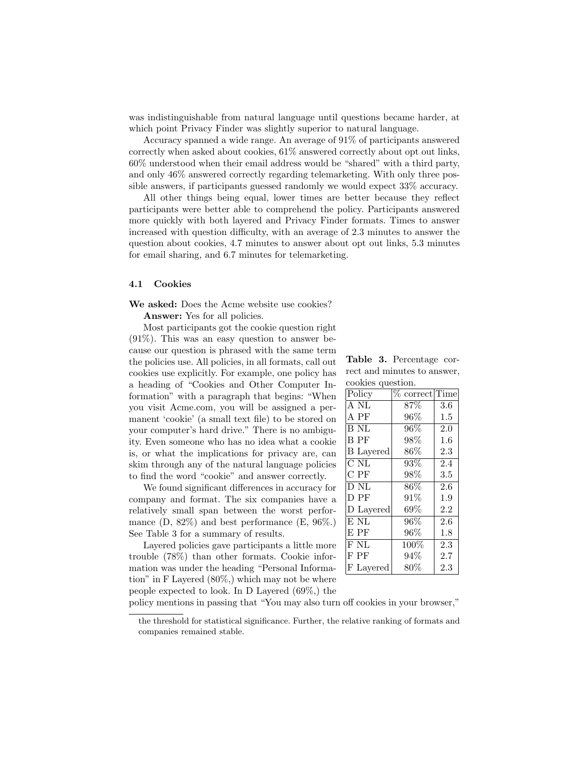was indistinguishable from natural language until questions became harder, at which point Privacy Finder was slightly superior to natural language.

Accuracy spanned a wide range. An average of 91% of participants answered correctly when asked about cookies, 61% answered correctly about opt out links, 60% understood when their email address would be "shared" with a third party, and only 46% answered correctly regarding telemarketing. With only three possible answers, if participants guessed randomly we would expect 33% accuracy.

All other things being equal, lower times are better because they reflect participants were better able to comprehend the policy. Participants answered more quickly with both layered and Privacy Finder formats. Times to answer increased with question difficulty, with an average of 2.3 minutes to answer the question about cookies, 4.7 minutes to answer about opt out links, 5.3 minutes for email sharing, and 6.7 minutes for telemarketing.

#### 4.1 Cookies

We asked: Does the Acme website use cookies? Answer: Yes for all policies.

Most participants got the cookie question right (91%). This was an easy question to answer because our question is phrased with the same term the policies use. All policies, in all formats, call out cookies use explicitly. For example, one policy has a heading of "Cookies and Other Computer Information" with a paragraph that begins: "When you visit Acme.com, you will be assigned a permanent 'cookie' (a small text file) to be stored on your computer's hard drive." There is no ambiguity. Even someone who has no idea what a cookie is, or what the implications for privacy are, can skim through any of the natural language policies to find the word "cookie" and answer correctly.

We found significant differences in accuracy for company and format. The six companies have a relatively small span between the worst performance (D, 82%) and best performance (E, 96%.) See Table 3 for a summary of results.

Layered policies gave participants a little more trouble (78%) than other formats. Cookie information was under the heading "Personal Information" in F Layered (80%,) which may not be where people expected to look. In D Layered (69%,) the

Table 3. Percentage correct and minutes to answer, cookies question.

| Policy           | $\%$ correct Time |     |
|------------------|-------------------|-----|
| A NL             | $87\%$            | 3.6 |
| A PF             | 96%               | 1.5 |
| B NL             | 96%               | 2.0 |
| B PF             | 98\%              | 1.6 |
| <b>B</b> Layered | 86\%              | 2.3 |
| C NL             | 93%               | 2.4 |
| C PF             | 98%               | 3.5 |
| D NL             | 86%               | 2.6 |
| D PF             | 91%               | 1.9 |
| D Layered        | 69%               | 2.2 |
| E NL             | 96%               | 2.6 |
| E PF             | 96%               | 1.8 |
| F NL             | $100\%$           | 2.3 |
| F PF             | 94%               | 2.7 |
| F Layered        | $80\%$            | 2.3 |
|                  |                   |     |

policy mentions in passing that "You may also turn off cookies in your browser,"

the threshold for statistical significance. Further, the relative ranking of formats and companies remained stable.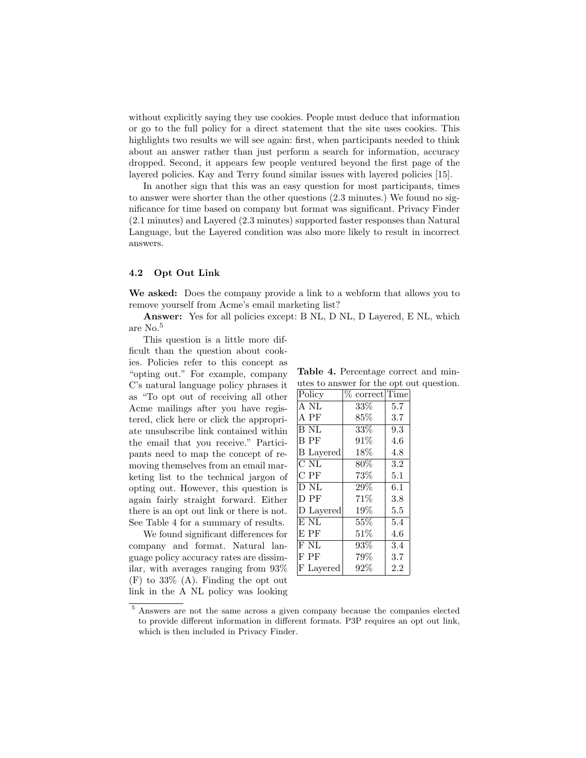without explicitly saying they use cookies. People must deduce that information or go to the full policy for a direct statement that the site uses cookies. This highlights two results we will see again: first, when participants needed to think about an answer rather than just perform a search for information, accuracy dropped. Second, it appears few people ventured beyond the first page of the layered policies. Kay and Terry found similar issues with layered policies [15].

In another sign that this was an easy question for most participants, times to answer were shorter than the other questions (2.3 minutes.) We found no significance for time based on company but format was significant. Privacy Finder (2.1 minutes) and Layered (2.3 minutes) supported faster responses than Natural Language, but the Layered condition was also more likely to result in incorrect answers.

# 4.2 Opt Out Link

We asked: Does the company provide a link to a webform that allows you to remove yourself from Acme's email marketing list?

Answer: Yes for all policies except: B NL, D NL, D Layered, E NL, which are No.<sup>5</sup>

This question is a little more difficult than the question about cookies. Policies refer to this concept as "opting out." For example, company C's natural language policy phrases it as "To opt out of receiving all other Acme mailings after you have registered, click here or click the appropriate unsubscribe link contained within the email that you receive." Participants need to map the concept of removing themselves from an email marketing list to the technical jargon of opting out. However, this question is again fairly straight forward. Either there is an opt out link or there is not. See Table 4 for a summary of results.

We found significant differences for company and format. Natural language policy accuracy rates are dissimilar, with averages ranging from 93% (F) to 33% (A). Finding the opt out link in the A NL policy was looking

Table 4. Percentage correct and minutes to answer for the opt out question.

| Policy                                 | $\%$ correct Time |     |
|----------------------------------------|-------------------|-----|
| A NL                                   | 33\%              | 5.7 |
| A PF                                   | 85%               | 3.7 |
| <b>B</b> NL                            | 33%               | 9.3 |
| B PF                                   | 91%               | 4.6 |
| <b>B</b> Layered                       | $18\%$            | 4.8 |
| C NL                                   | 80%               | 3.2 |
| $C$ PF                                 | 73%               | 5.1 |
| $\overline{\rm D}$ $\overline{\rm NL}$ | $\overline{29\%}$ | 6.1 |
| D PF                                   | 71%               | 3.8 |
| D Layered                              | 19%               | 5.5 |
| E NL                                   | $55\%$            | 5.4 |
| E PF                                   | 51%               | 4.6 |
| F NL                                   | 93%               | 3.4 |
| F PF                                   | 79%               | 3.7 |
| F Layered                              | 92%               | 2.2 |
|                                        |                   |     |

<sup>5</sup> Answers are not the same across a given company because the companies elected to provide different information in different formats. P3P requires an opt out link, which is then included in Privacy Finder.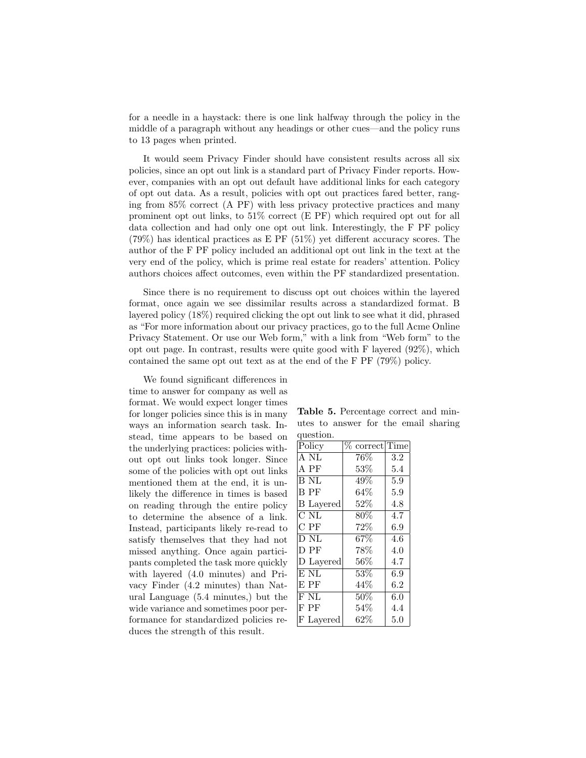for a needle in a haystack: there is one link halfway through the policy in the middle of a paragraph without any headings or other cues—and the policy runs to 13 pages when printed.

It would seem Privacy Finder should have consistent results across all six policies, since an opt out link is a standard part of Privacy Finder reports. However, companies with an opt out default have additional links for each category of opt out data. As a result, policies with opt out practices fared better, ranging from 85% correct (A PF) with less privacy protective practices and many prominent opt out links, to 51% correct (E PF) which required opt out for all data collection and had only one opt out link. Interestingly, the F PF policy (79%) has identical practices as E PF (51%) yet different accuracy scores. The author of the F PF policy included an additional opt out link in the text at the very end of the policy, which is prime real estate for readers' attention. Policy authors choices affect outcomes, even within the PF standardized presentation.

Since there is no requirement to discuss opt out choices within the layered format, once again we see dissimilar results across a standardized format. B layered policy (18%) required clicking the opt out link to see what it did, phrased as "For more information about our privacy practices, go to the full Acme Online Privacy Statement. Or use our Web form," with a link from "Web form" to the opt out page. In contrast, results were quite good with  $F$  layered  $(92\%)$ , which contained the same opt out text as at the end of the F PF (79%) policy.

We found significant differences in time to answer for company as well as format. We would expect longer times for longer policies since this is in many ways an information search task. Instead, time appears to be based on the underlying practices: policies without opt out links took longer. Since some of the policies with opt out links mentioned them at the end, it is unlikely the difference in times is based on reading through the entire policy to determine the absence of a link. Instead, participants likely re-read to satisfy themselves that they had not missed anything. Once again participants completed the task more quickly with layered (4.0 minutes) and Privacy Finder (4.2 minutes) than Natural Language (5.4 minutes,) but the wide variance and sometimes poor performance for standardized policies reduces the strength of this result.

Table 5. Percentage correct and minutes to answer for the email sharing question.

| 90000011.        |                   |                  |
|------------------|-------------------|------------------|
| Policy           | $\%$ correct Time |                  |
| A NL             | $76\%$            | 3.2              |
| A PF             | $53\%$            | 5.4              |
| <b>B</b> NL      | $49\%$            | $5.\overline{9}$ |
| B PF             | 64%               | 5.9              |
| <b>B</b> Layered | 52%               | 4.8              |
| C NL             | $80\%$            | 4.7              |
| $C$ PF           | 72%               | 6.9              |
| D NL             | $67\%$            | 4.6              |
| D PF             | 78%               | 4.0              |
| D Layered        | $56\%$            | 4.7              |
| E NL             | 53%               | 6.9              |
| E PF             | 44%               | 6.2              |
| F NL             | $50\%$            | 6.0              |
| F PF             | 54\%              | 4.4              |
| F Layered        | $62\%$            | 5.0              |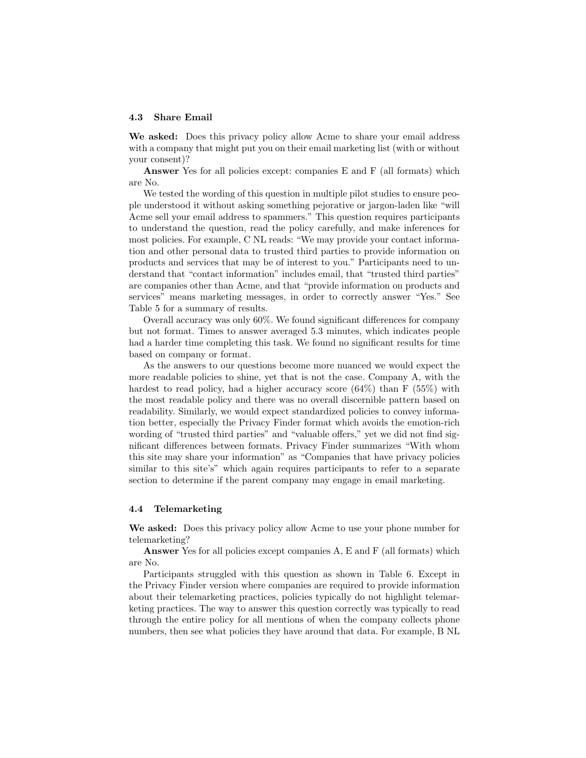#### 4.3 Share Email

We asked: Does this privacy policy allow Acme to share your email address with a company that might put you on their email marketing list (with or without your consent)?

Answer Yes for all policies except: companies E and F (all formats) which are No.

We tested the wording of this question in multiple pilot studies to ensure people understood it without asking something pejorative or jargon-laden like "will Acme sell your email address to spammers." This question requires participants to understand the question, read the policy carefully, and make inferences for most policies. For example, C NL reads: "We may provide your contact information and other personal data to trusted third parties to provide information on products and services that may be of interest to you." Participants need to understand that "contact information" includes email, that "trusted third parties" are companies other than Acme, and that "provide information on products and services" means marketing messages, in order to correctly answer "Yes." See Table 5 for a summary of results.

Overall accuracy was only 60%. We found significant differences for company but not format. Times to answer averaged 5.3 minutes, which indicates people had a harder time completing this task. We found no significant results for time based on company or format.

As the answers to our questions become more nuanced we would expect the more readable policies to shine, yet that is not the case. Company A, with the hardest to read policy, had a higher accuracy score  $(64%)$  than F  $(55%)$  with the most readable policy and there was no overall discernible pattern based on readability. Similarly, we would expect standardized policies to convey information better, especially the Privacy Finder format which avoids the emotion-rich wording of "trusted third parties" and "valuable offers," yet we did not find significant differences between formats. Privacy Finder summarizes "With whom this site may share your information" as "Companies that have privacy policies similar to this site's" which again requires participants to refer to a separate section to determine if the parent company may engage in email marketing.

#### 4.4 Telemarketing

We asked: Does this privacy policy allow Acme to use your phone number for telemarketing?

Answer Yes for all policies except companies A, E and F (all formats) which are No.

Participants struggled with this question as shown in Table 6. Except in the Privacy Finder version where companies are required to provide information about their telemarketing practices, policies typically do not highlight telemarketing practices. The way to answer this question correctly was typically to read through the entire policy for all mentions of when the company collects phone numbers, then see what policies they have around that data. For example, B NL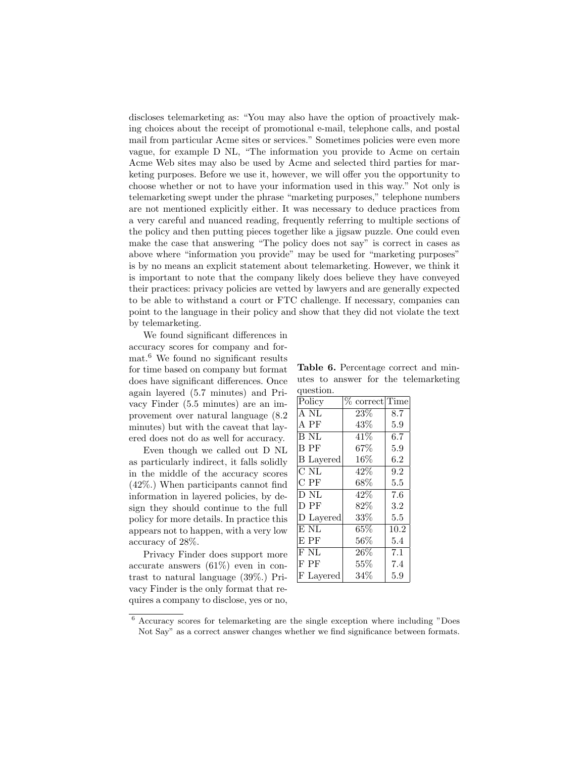discloses telemarketing as: "You may also have the option of proactively making choices about the receipt of promotional e-mail, telephone calls, and postal mail from particular Acme sites or services." Sometimes policies were even more vague, for example D NL, "The information you provide to Acme on certain Acme Web sites may also be used by Acme and selected third parties for marketing purposes. Before we use it, however, we will offer you the opportunity to choose whether or not to have your information used in this way." Not only is telemarketing swept under the phrase "marketing purposes," telephone numbers are not mentioned explicitly either. It was necessary to deduce practices from a very careful and nuanced reading, frequently referring to multiple sections of the policy and then putting pieces together like a jigsaw puzzle. One could even make the case that answering "The policy does not say" is correct in cases as above where "information you provide" may be used for "marketing purposes" is by no means an explicit statement about telemarketing. However, we think it is important to note that the company likely does believe they have conveyed their practices: privacy policies are vetted by lawyers and are generally expected to be able to withstand a court or FTC challenge. If necessary, companies can point to the language in their policy and show that they did not violate the text by telemarketing.

We found significant differences in accuracy scores for company and format.<sup>6</sup> We found no significant results for time based on company but format does have significant differences. Once again layered (5.7 minutes) and Privacy Finder (5.5 minutes) are an improvement over natural language (8.2 minutes) but with the caveat that layered does not do as well for accuracy.

Even though we called out D NL as particularly indirect, it falls solidly in the middle of the accuracy scores (42%.) When participants cannot find information in layered policies, by design they should continue to the full policy for more details. In practice this appears not to happen, with a very low accuracy of 28%.

Privacy Finder does support more accurate answers (61%) even in contrast to natural language (39%.) Privacy Finder is the only format that requires a company to disclose, yes or no,

Table 6. Percentage correct and minutes to answer for the telemarketing question.

| $%$ correct | Time |
|-------------|------|
| 23%         | 8.7  |
| 43%         | 5.9  |
| 41\%        | 6.7  |
| 67%         | 5.9  |
| $16\%$      | 6.2  |
| 42%         | 9.2  |
| $68\%$      | 5.5  |
| 42\%        | 7.6  |
| 82%         | 3.2  |
| $33\%$      | 5.5  |
| $65\%$      | 10.2 |
| 56%         | 5.4  |
| $26\%$      | 7.1  |
| $55\%$      | 7.4  |
| 34%         | 5.9  |
|             |      |

<sup>6</sup> Accuracy scores for telemarketing are the single exception where including "Does Not Say" as a correct answer changes whether we find significance between formats.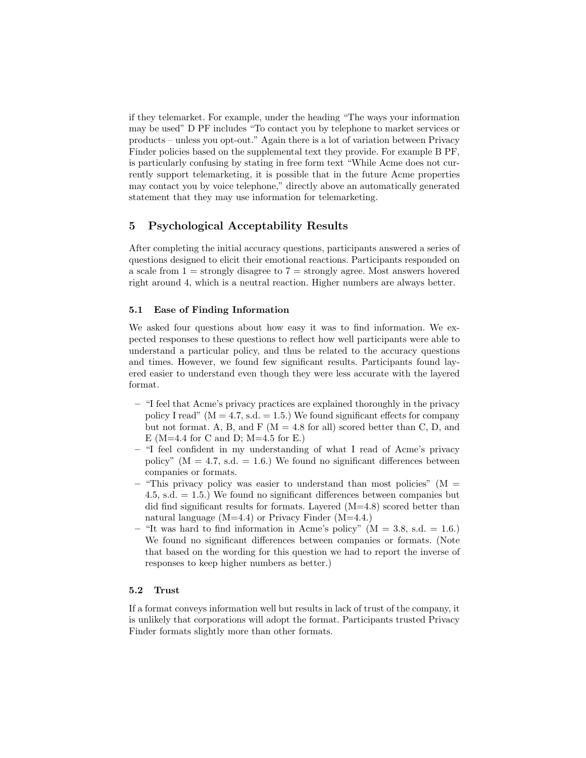if they telemarket. For example, under the heading "The ways your information may be used" D PF includes "To contact you by telephone to market services or products – unless you opt-out." Again there is a lot of variation between Privacy Finder policies based on the supplemental text they provide. For example B PF, is particularly confusing by stating in free form text "While Acme does not currently support telemarketing, it is possible that in the future Acme properties may contact you by voice telephone," directly above an automatically generated statement that they may use information for telemarketing.

# 5 Psychological Acceptability Results

After completing the initial accuracy questions, participants answered a series of questions designed to elicit their emotional reactions. Participants responded on a scale from  $1 =$  strongly disagree to  $7 =$  strongly agree. Most answers hovered right around 4, which is a neutral reaction. Higher numbers are always better.

## 5.1 Ease of Finding Information

We asked four questions about how easy it was to find information. We expected responses to these questions to reflect how well participants were able to understand a particular policy, and thus be related to the accuracy questions and times. However, we found few significant results. Participants found layered easier to understand even though they were less accurate with the layered format.

- "I feel that Acme's privacy practices are explained thoroughly in the privacy policy I read" ( $M = 4.7$ , s.d. = 1.5.) We found significant effects for company but not format. A, B, and F ( $M = 4.8$  for all) scored better than C, D, and E ( $M=4.4$  for C and D;  $M=4.5$  for E.)
- "I feel confident in my understanding of what I read of Acme's privacy policy" ( $M = 4.7$ , s.d.  $= 1.6$ .) We found no significant differences between companies or formats.
- $-$  "This privacy policy was easier to understand than most policies" ( $M =$ 4.5, s.d. = 1.5.) We found no significant differences between companies but did find significant results for formats. Layered  $(M=4.8)$  scored better than natural language  $(M=4.4)$  or Privacy Finder  $(M=4.4)$ .
- "It was hard to find information in Acme's policy" ( $M = 3.8$ , s.d. = 1.6.) We found no significant differences between companies or formats. (Note that based on the wording for this question we had to report the inverse of responses to keep higher numbers as better.)

# 5.2 Trust

If a format conveys information well but results in lack of trust of the company, it is unlikely that corporations will adopt the format. Participants trusted Privacy Finder formats slightly more than other formats.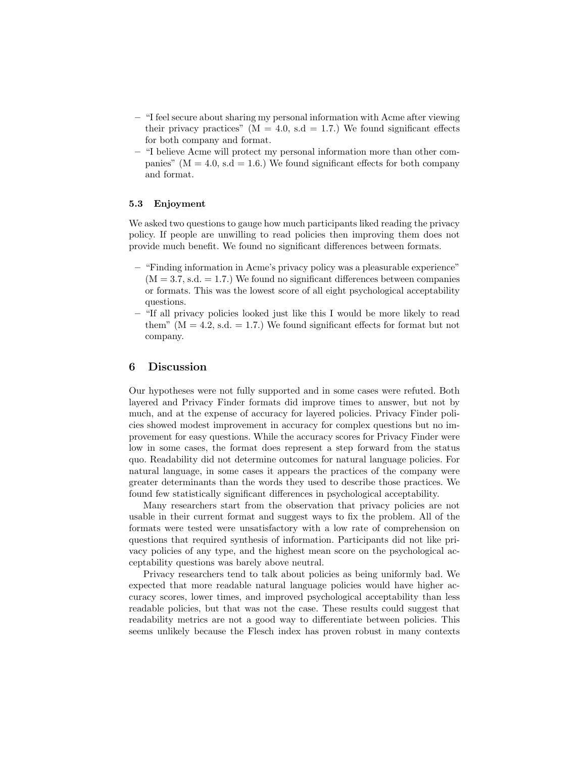- "I feel secure about sharing my personal information with Acme after viewing their privacy practices" ( $M = 4.0$ , s.d = 1.7.) We found significant effects for both company and format.
- "I believe Acme will protect my personal information more than other companies" ( $M = 4.0$ , s.d = 1.6.) We found significant effects for both company and format.

# 5.3 Enjoyment

We asked two questions to gauge how much participants liked reading the privacy policy. If people are unwilling to read policies then improving them does not provide much benefit. We found no significant differences between formats.

- "Finding information in Acme's privacy policy was a pleasurable experience"  $(M = 3.7, s.d. = 1.7)$  We found no significant differences between companies or formats. This was the lowest score of all eight psychological acceptability questions.
- "If all privacy policies looked just like this I would be more likely to read them" ( $M = 4.2$ , s.d.  $= 1.7$ .) We found significant effects for format but not company.

# 6 Discussion

Our hypotheses were not fully supported and in some cases were refuted. Both layered and Privacy Finder formats did improve times to answer, but not by much, and at the expense of accuracy for layered policies. Privacy Finder policies showed modest improvement in accuracy for complex questions but no improvement for easy questions. While the accuracy scores for Privacy Finder were low in some cases, the format does represent a step forward from the status quo. Readability did not determine outcomes for natural language policies. For natural language, in some cases it appears the practices of the company were greater determinants than the words they used to describe those practices. We found few statistically significant differences in psychological acceptability.

Many researchers start from the observation that privacy policies are not usable in their current format and suggest ways to fix the problem. All of the formats were tested were unsatisfactory with a low rate of comprehension on questions that required synthesis of information. Participants did not like privacy policies of any type, and the highest mean score on the psychological acceptability questions was barely above neutral.

Privacy researchers tend to talk about policies as being uniformly bad. We expected that more readable natural language policies would have higher accuracy scores, lower times, and improved psychological acceptability than less readable policies, but that was not the case. These results could suggest that readability metrics are not a good way to differentiate between policies. This seems unlikely because the Flesch index has proven robust in many contexts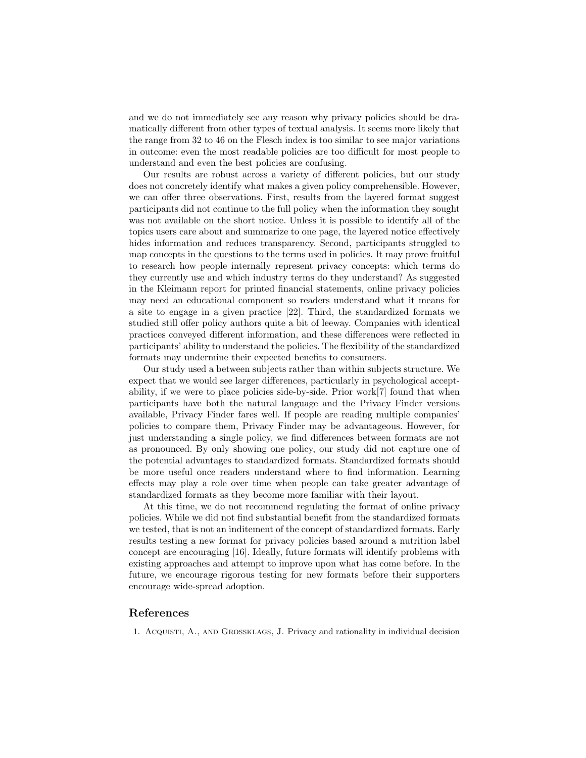and we do not immediately see any reason why privacy policies should be dramatically different from other types of textual analysis. It seems more likely that the range from 32 to 46 on the Flesch index is too similar to see major variations in outcome: even the most readable policies are too difficult for most people to understand and even the best policies are confusing.

Our results are robust across a variety of different policies, but our study does not concretely identify what makes a given policy comprehensible. However, we can offer three observations. First, results from the layered format suggest participants did not continue to the full policy when the information they sought was not available on the short notice. Unless it is possible to identify all of the topics users care about and summarize to one page, the layered notice effectively hides information and reduces transparency. Second, participants struggled to map concepts in the questions to the terms used in policies. It may prove fruitful to research how people internally represent privacy concepts: which terms do they currently use and which industry terms do they understand? As suggested in the Kleimann report for printed financial statements, online privacy policies may need an educational component so readers understand what it means for a site to engage in a given practice [22]. Third, the standardized formats we studied still offer policy authors quite a bit of leeway. Companies with identical practices conveyed different information, and these differences were reflected in participants' ability to understand the policies. The flexibility of the standardized formats may undermine their expected benefits to consumers.

Our study used a between subjects rather than within subjects structure. We expect that we would see larger differences, particularly in psychological acceptability, if we were to place policies side-by-side. Prior work[7] found that when participants have both the natural language and the Privacy Finder versions available, Privacy Finder fares well. If people are reading multiple companies' policies to compare them, Privacy Finder may be advantageous. However, for just understanding a single policy, we find differences between formats are not as pronounced. By only showing one policy, our study did not capture one of the potential advantages to standardized formats. Standardized formats should be more useful once readers understand where to find information. Learning effects may play a role over time when people can take greater advantage of standardized formats as they become more familiar with their layout.

At this time, we do not recommend regulating the format of online privacy policies. While we did not find substantial benefit from the standardized formats we tested, that is not an inditement of the concept of standardized formats. Early results testing a new format for privacy policies based around a nutrition label concept are encouraging [16]. Ideally, future formats will identify problems with existing approaches and attempt to improve upon what has come before. In the future, we encourage rigorous testing for new formats before their supporters encourage wide-spread adoption.

# References

1. Acquisti, A., and Grossklags, J. Privacy and rationality in individual decision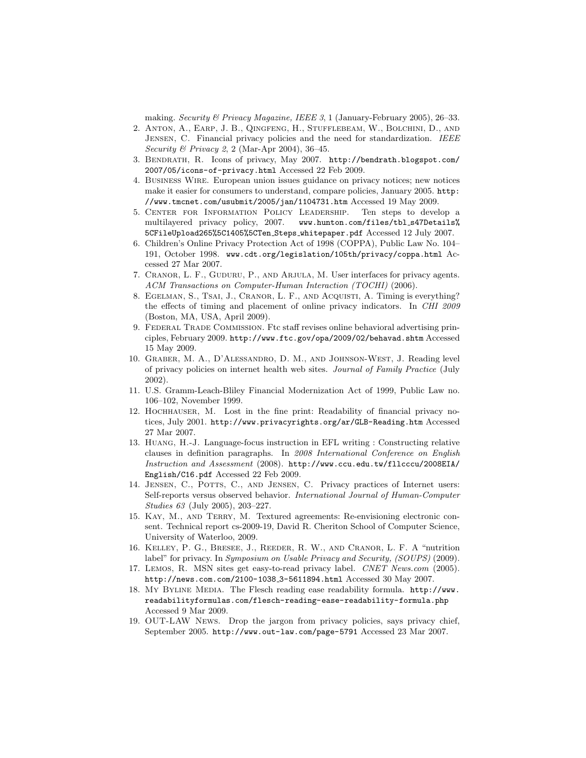making. *Security & Privacy Magazine, IEEE 3*, 1 (January-February 2005), 26–33.

- 2. Anton, A., Earp, J. B., Qingfeng, H., Stufflebeam, W., Bolchini, D., and Jensen, C. Financial privacy policies and the need for standardization. *IEEE Security & Privacy 2*, 2 (Mar-Apr 2004), 36–45.
- 3. Bendrath, R. Icons of privacy, May 2007. http://bendrath.blogspot.com/ 2007/05/icons-of-privacy.html Accessed 22 Feb 2009.
- 4. Business Wire. European union issues guidance on privacy notices; new notices make it easier for consumers to understand, compare policies, January 2005. http: //www.tmcnet.com/usubmit/2005/jan/1104731.htm Accessed 19 May 2009.
- 5. Center for Information Policy Leadership. Ten steps to develop a multilayered privacy policy, 2007. www.hunton.com/files/tbl\_s47Details% 5CFileUpload265%5C1405%5CTen Steps whitepaper.pdf Accessed 12 July 2007.
- 6. Children's Online Privacy Protection Act of 1998 (COPPA), Public Law No. 104– 191, October 1998. www.cdt.org/legislation/105th/privacy/coppa.html Accessed 27 Mar 2007.
- 7. Cranor, L. F., Guduru, P., and Arjula, M. User interfaces for privacy agents. *ACM Transactions on Computer-Human Interaction (TOCHI)* (2006).
- 8. Egelman, S., Tsai, J., Cranor, L. F., and Acquisti, A. Timing is everything? the effects of timing and placement of online privacy indicators. In *CHI 2009* (Boston, MA, USA, April 2009).
- 9. Federal Trade Commission. Ftc staff revises online behavioral advertising principles, February 2009. http://www.ftc.gov/opa/2009/02/behavad.shtm Accessed 15 May 2009.
- 10. Graber, M. A., D'Alessandro, D. M., and Johnson-West, J. Reading level of privacy policies on internet health web sites. *Journal of Family Practice* (July 2002).
- 11. U.S. Gramm-Leach-Bliley Financial Modernization Act of 1999, Public Law no. 106–102, November 1999.
- 12. Hochhauser, M. Lost in the fine print: Readability of financial privacy notices, July 2001. http://www.privacyrights.org/ar/GLB-Reading.htm Accessed 27 Mar 2007.
- 13. Huang, H.-J. Language-focus instruction in EFL writing : Constructing relative clauses in definition paragraphs. In *2008 International Conference on English Instruction and Assessment* (2008). http://www.ccu.edu.tw/fllcccu/2008EIA/ English/C16.pdf Accessed 22 Feb 2009.
- 14. JENSEN, C., POTTS, C., AND JENSEN, C. Privacy practices of Internet users: Self-reports versus observed behavior. *International Journal of Human-Computer Studies 63* (July 2005), 203–227.
- 15. Kay, M., and Terry, M. Textured agreements: Re-envisioning electronic consent. Technical report cs-2009-19, David R. Cheriton School of Computer Science, University of Waterloo, 2009.
- 16. Kelley, P. G., Bresee, J., Reeder, R. W., and Cranor, L. F. A "nutrition label" for privacy. In *Symposium on Usable Privacy and Security, (SOUPS)* (2009).
- 17. Lemos, R. MSN sites get easy-to-read privacy label. *CNET News.com* (2005). http://news.com.com/2100-1038 3-5611894.html Accessed 30 May 2007.
- 18. My Byline Media. The Flesch reading ease readability formula. http://www. readabilityformulas.com/flesch-reading-ease-readability-formula.php Accessed 9 Mar 2009.
- 19. OUT-LAW News. Drop the jargon from privacy policies, says privacy chief, September 2005. http://www.out-law.com/page-5791 Accessed 23 Mar 2007.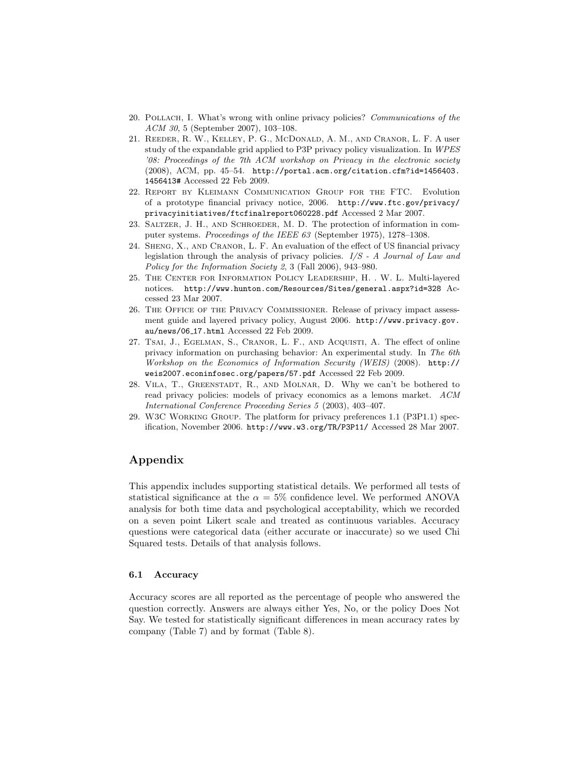- 20. Pollach, I. What's wrong with online privacy policies? *Communications of the ACM 30*, 5 (September 2007), 103–108.
- 21. Reeder, R. W., Kelley, P. G., McDonald, A. M., and Cranor, L. F. A user study of the expandable grid applied to P3P privacy policy visualization. In *WPES '08: Proceedings of the 7th ACM workshop on Privacy in the electronic society* (2008), ACM, pp. 45–54. http://portal.acm.org/citation.cfm?id=1456403. 1456413# Accessed 22 Feb 2009.
- 22. Report by Kleimann Communication Group for the FTC. Evolution of a prototype financial privacy notice, 2006. http://www.ftc.gov/privacy/ privacyinitiatives/ftcfinalreport060228.pdf Accessed 2 Mar 2007.
- 23. Saltzer, J. H., and Schroeder, M. D. The protection of information in computer systems. *Proceedings of the IEEE 63* (September 1975), 1278–1308.
- 24. Sheng, X., and Cranor, L. F. An evaluation of the effect of US financial privacy legislation through the analysis of privacy policies. *I/S - A Journal of Law and Policy for the Information Society 2*, 3 (Fall 2006), 943–980.
- 25. The Center for Information Policy Leadership, H. . W. L. Multi-layered notices. http://www.hunton.com/Resources/Sites/general.aspx?id=328 Accessed 23 Mar 2007.
- 26. The Office of the Privacy Commissioner. Release of privacy impact assessment guide and layered privacy policy, August 2006. http://www.privacy.gov. au/news/06 17.html Accessed 22 Feb 2009.
- 27. Tsai, J., Egelman, S., Cranor, L. F., and Acquisti, A. The effect of online privacy information on purchasing behavior: An experimental study. In *The 6th Workshop on the Economics of Information Security (WEIS)* (2008). http:// weis2007.econinfosec.org/papers/57.pdf Accessed 22 Feb 2009.
- 28. VILA, T., GREENSTADT, R., AND MOLNAR, D. Why we can't be bothered to read privacy policies: models of privacy economics as a lemons market. *ACM International Conference Proceeding Series 5* (2003), 403–407.
- 29. W3C Working Group. The platform for privacy preferences 1.1 (P3P1.1) specification, November 2006. http://www.w3.org/TR/P3P11/ Accessed 28 Mar 2007.

# Appendix

This appendix includes supporting statistical details. We performed all tests of statistical significance at the  $\alpha = 5\%$  confidence level. We performed ANOVA analysis for both time data and psychological acceptability, which we recorded on a seven point Likert scale and treated as continuous variables. Accuracy questions were categorical data (either accurate or inaccurate) so we used Chi Squared tests. Details of that analysis follows.

#### 6.1 Accuracy

Accuracy scores are all reported as the percentage of people who answered the question correctly. Answers are always either Yes, No, or the policy Does Not Say. We tested for statistically significant differences in mean accuracy rates by company (Table 7) and by format (Table 8).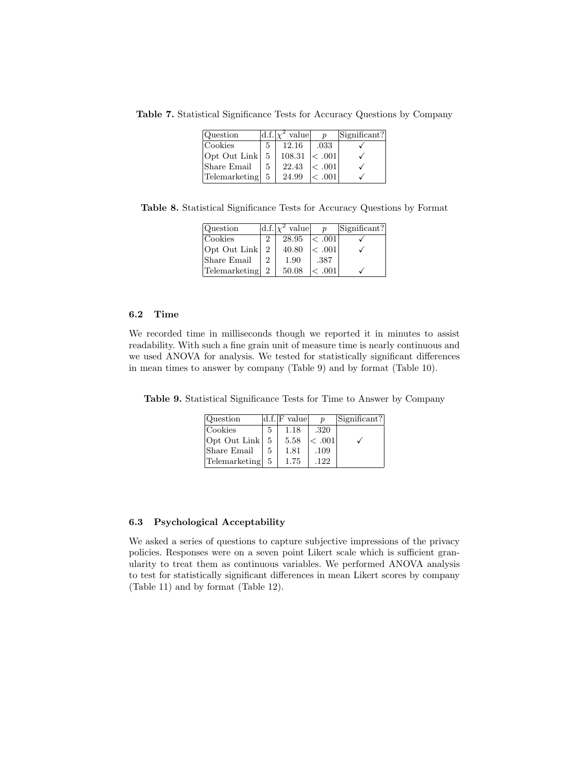Table 7. Statistical Significance Tests for Accuracy Questions by Company

| Question      | d.f.          | <sup>2</sup> value | $\boldsymbol{\eta}$ | Significant? |
|---------------|---------------|--------------------|---------------------|--------------|
| Cookies       | b.            | 12.16              | .033                |              |
| Opt Out Link  | $\frac{5}{2}$ | 108.31             | <.001               |              |
| Share Email   | 5             | 22.43              | <.001               |              |
| Telemarketing | .5            | 24.99              | $\leq .001$         |              |

Table 8. Statistical Significance Tests for Accuracy Questions by Format

| Question       |                             | d.f. $ \chi^2$ value | $\boldsymbol{\eta}$ | Significant? |
|----------------|-----------------------------|----------------------|---------------------|--------------|
| <b>Cookies</b> | $\mathcal{D}_{\mathcal{L}}$ | 28.95                | <.001               |              |
| Opt Out Link   | $\mathcal{D}_{\mathcal{L}}$ | 40.80                | <.001               |              |
| Share Email    | 2                           | 1.90                 | .387                |              |
| Telemarketing  | $\mathcal{D}_{\mathcal{L}}$ | 50.08                | $\sim 001$          |              |

# 6.2 Time

We recorded time in milliseconds though we reported it in minutes to assist readability. With such a fine grain unit of measure time is nearly continuous and we used ANOVA for analysis. We tested for statistically significant differences in mean times to answer by company (Table 9) and by format (Table 10).

Table 9. Statistical Significance Tests for Time to Answer by Company

| Question      |               | d.f. F value |               | Significant? |
|---------------|---------------|--------------|---------------|--------------|
| Cookies       | 5             | 1.18         | .320          |              |
| Opt Out Link  | $\frac{5}{2}$ | 5.58         | $\leq .001$ . |              |
| Share Email   | 5             | 1.81         | .109          |              |
| Telemarketing | - 5           | 1.75         | .122          |              |

# 6.3 Psychological Acceptability

We asked a series of questions to capture subjective impressions of the privacy policies. Responses were on a seven point Likert scale which is sufficient granularity to treat them as continuous variables. We performed ANOVA analysis to test for statistically significant differences in mean Likert scores by company (Table 11) and by format (Table 12).